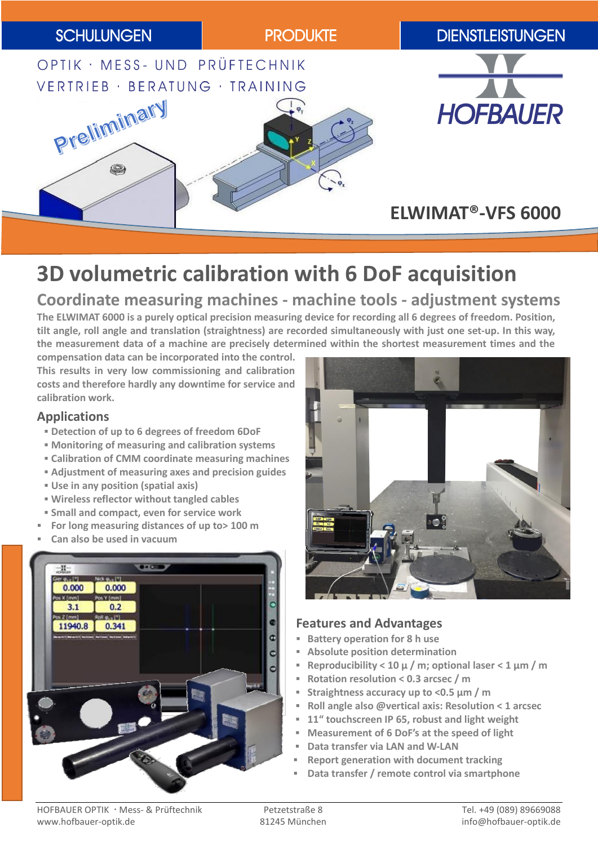

# **3D volumetric calibration with 6 DoF acquisition**

## **Coordinate measuring machines - machine tools - adjustment systems**

**The ELWIMAT 6000 is a purely optical precision measuring device for recording all 6 degrees of freedom. Position, tilt angle, roll angle and translation (straightness) are recorded simultaneously with just one set-up. In this way, the measurement data of a machine are precisely determined within the shortest measurement times and the** 

**compensation data can be incorporated into the control. This results in very low commissioning and calibration costs and therefore hardly any downtime for service and calibration work.**

## **Applications**

- **Detection of up to 6 degrees of freedom 6DoF**
- **Monitoring of measuring and calibration systems**
- **Calibration of CMM coordinate measuring machines**
- **Adjustment of measuring axes and precision guides**
- **Use in any position (spatial axis)**
- **Wireless reflector without tangled cables**
- **Small and compact, even for service work**
- **For long measuring distances of up to> 100 m**
- **Can also be used in vacuum**





## **Features and Advantages**

- **Battery operation for 8 h use**
- **Absolute position determination**
- **Reproducibility < 10 µ / m; optional laser < 1 µm / m**
- **Rotation resolution < 0.3 arcsec / m**
- **Straightness accuracy up to <0.5 µm / m**
- **Roll angle also @vertical axis: Resolution < 1 arcsec**
- **11" touchscreen IP 65, robust and light weight**
- **Measurement of 6 DoF's at the speed of light**
- **Data transfer via LAN and W-LAN**
- **Report generation with document tracking**
- **Data transfer / remote control via smartphone**